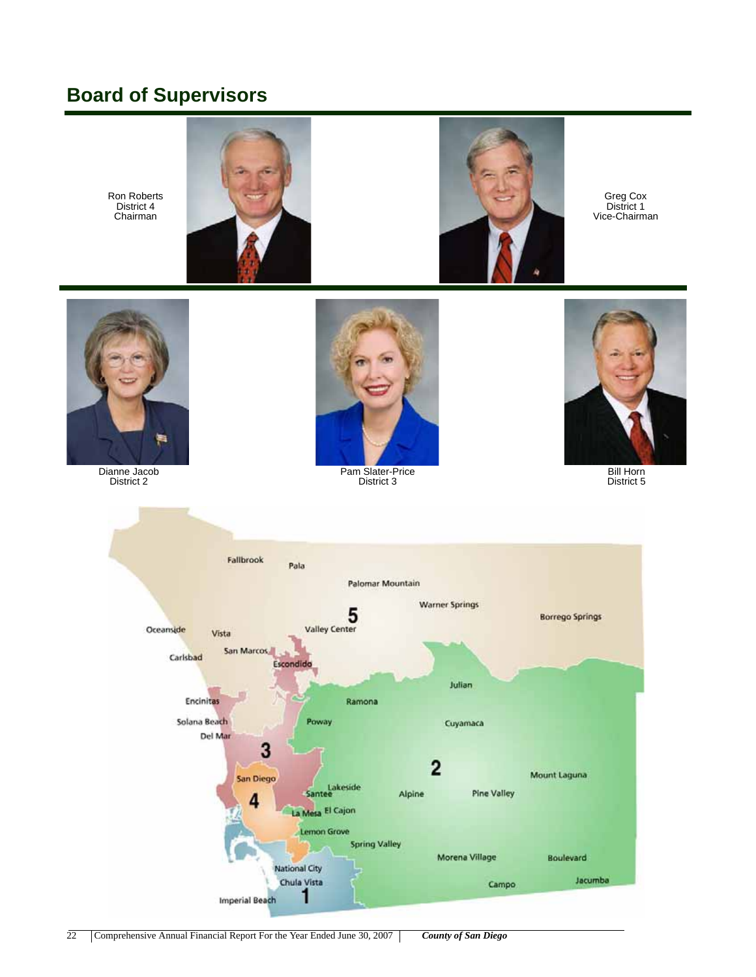# **Board of Supervisors**

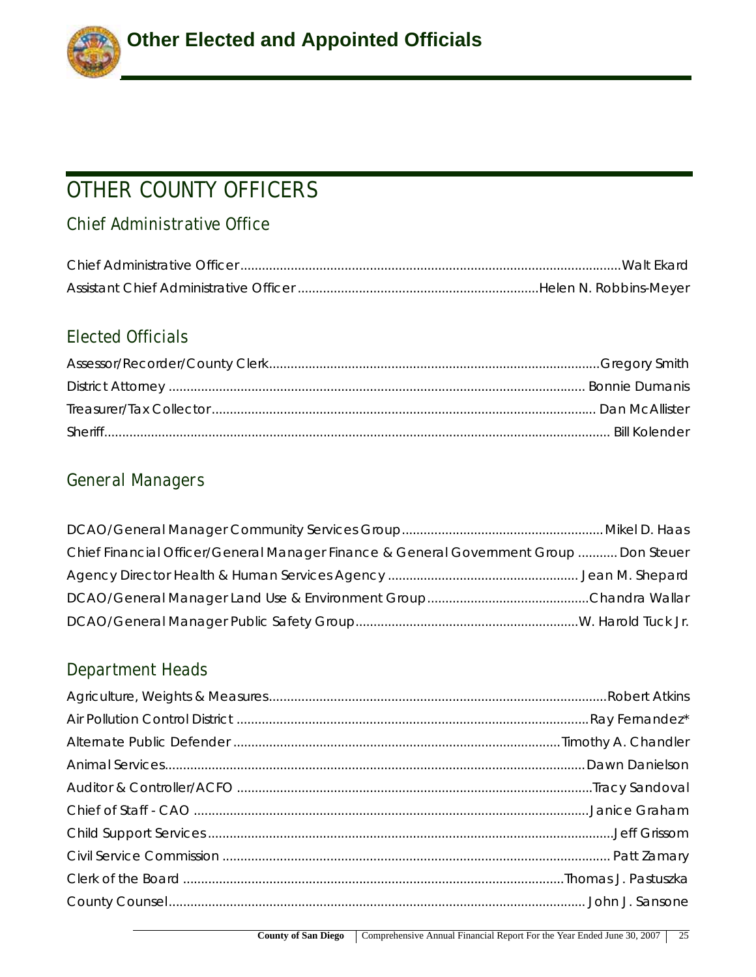

# **OTHER COUNTY OFFICERS**

### **Chief Administrative Office**

## **Elected Officials**

#### **General Managers**

| Chief Financial Officer/General Manager Finance & General Government Group  Don Steuer |  |
|----------------------------------------------------------------------------------------|--|
|                                                                                        |  |
|                                                                                        |  |
|                                                                                        |  |

#### **Department Heads**